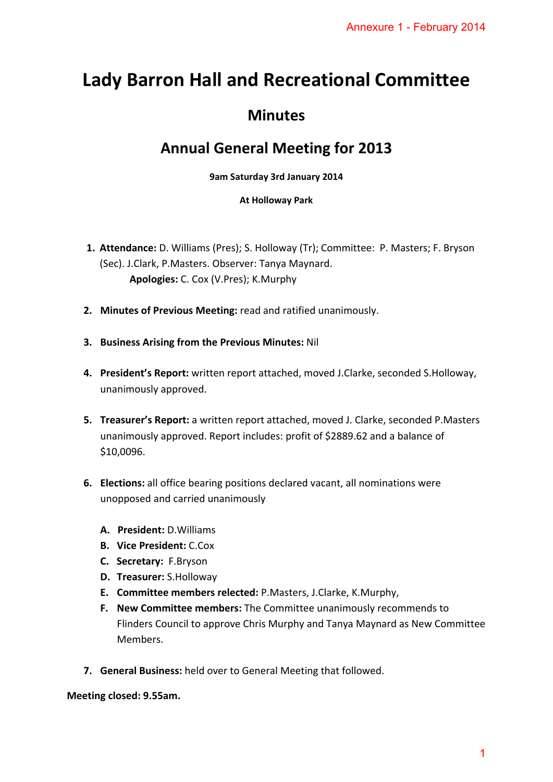# **Lady Barron Hall and Recreational Committee**

# **Minutes**

## **Annual General Meeting for 2013**

### **9am Saturday 3rd January 2014**

### **At Holloway Park**

- **1. Attendance:** D. Williams (Pres); S. Holloway (Tr); Committee: P. Masters; F. Bryson (Sec). J.Clark, P.Masters. Observer: Tanya Maynard. **Apologies:** C. Cox (V.Pres); K.Murphy
- **2. Minutes of Previous Meeting:** read and ratified unanimously.
- **3. Business Arising from the Previous Minutes:** Nil
- **4. President's Report:** written report attached, moved J.Clarke, seconded S.Holloway, unanimously approved.
- **5. Treasurer's Report:** a written report attached, moved J. Clarke, seconded P.Masters unanimously approved. Report includes: profit of \$2889.62 and a balance of \$10,0096.
- **6. Elections:** all office bearing positions declared vacant, all nominations were unopposed and carried unanimously
	- **A. President:** D.Williams
	- **B. Vice President:** C.Cox
	- **C. Secretary:** F.Bryson
	- **D. Treasurer:** S.Holloway
	- **E. Committee members relected:** P.Masters, J.Clarke, K.Murphy,
- **F. New Committee members:** The Committee unanimously recommends to Flinders Council to approve Chris Murphy and Tanya Maynard as New Committee Members. Annexure 1 - February 2014<br> **nal Committee**<br> **or 2013**<br>
Finance: P. Masters; F. Bryson<br>
mously.<br>
Clarke, seconded S.Holloway,<br>
J. Clarke, seconded P.Masters<br>
9.62 and a balance of<br>
all nominations were<br>
all nominations wer
- **7. General Business:** held over to General Meeting that followed.

**Meeting closed: 9.55am.**